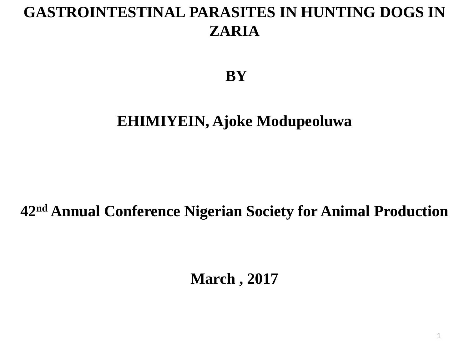#### **GASTROINTESTINAL PARASITES IN HUNTING DOGS IN ZARIA**

**BY**

#### **EHIMIYEIN, Ajoke Modupeoluwa**

#### **42nd Annual Conference Nigerian Society for Animal Production**

**March , 2017**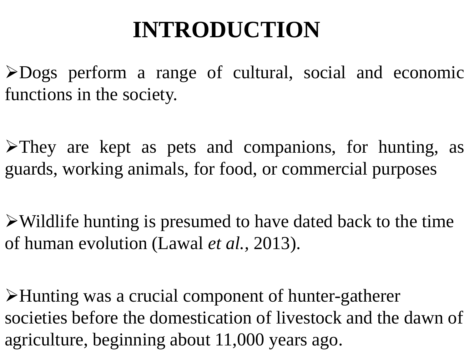#### **INTRODUCTION**

Dogs perform a range of cultural, social and economic functions in the society.

 $\blacktriangleright$ They are kept as pets and companions, for hunting, as guards, working animals, for food, or commercial purposes

 $\triangleright$  Wildlife hunting is presumed to have dated back to the time of human evolution (Lawal *et al.,* 2013).

Hunting was a crucial component of hunter-gatherer societies before the domestication of livestock and the dawn of agriculture, beginning about 11,000 years ago.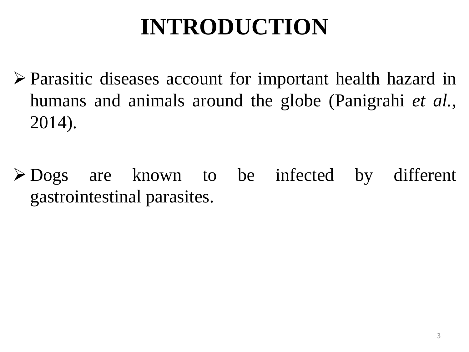### **INTRODUCTION**

- Parasitic diseases account for important health hazard in humans and animals around the globe (Panigrahi *et al.*, 2014).
- Dogs are known to be infected by different gastrointestinal parasites.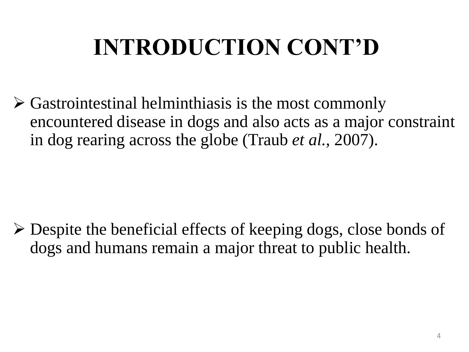# **INTRODUCTION CONT'D**

 $\triangleright$  Gastrointestinal helminthiasis is the most commonly encountered disease in dogs and also acts as a major constraint in dog rearing across the globe (Traub *et al.,* 2007).

 Despite the beneficial effects of keeping dogs, close bonds of dogs and humans remain a major threat to public health.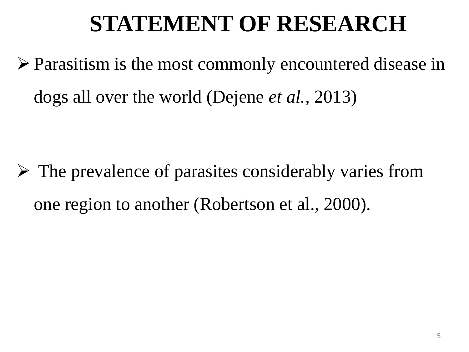#### **STATEMENT OF RESEARCH**

 Parasitism is the most commonly encountered disease in dogs all over the world (Dejene *et al.,* 2013)

 $\triangleright$  The prevalence of parasites considerably varies from one region to another (Robertson et al., 2000).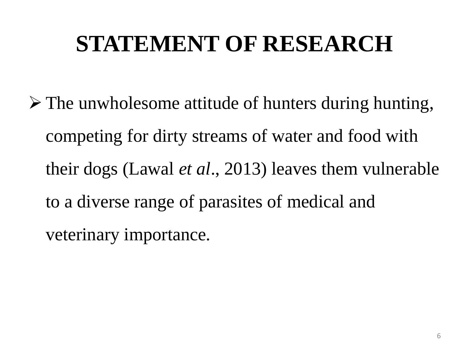### **STATEMENT OF RESEARCH**

 $\triangleright$  The unwholesome attitude of hunters during hunting, competing for dirty streams of water and food with their dogs (Lawal *et al*., 2013) leaves them vulnerable to a diverse range of parasites of medical and veterinary importance.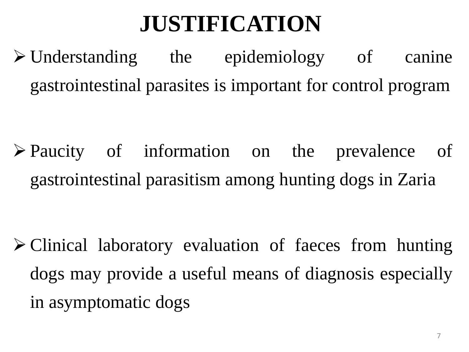#### **JUSTIFICATION**

 Understanding the epidemiology of canine gastrointestinal parasites is important for control program

 Paucity of information on the prevalence of gastrointestinal parasitism among hunting dogs in Zaria

 Clinical laboratory evaluation of faeces from hunting dogs may provide a useful means of diagnosis especially in asymptomatic dogs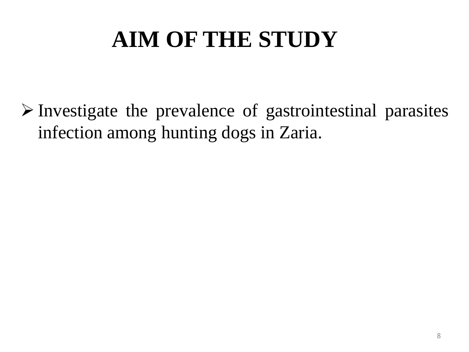## **AIM OF THE STUDY**

 $\triangleright$  Investigate the prevalence of gastrointestinal parasites infection among hunting dogs in Zaria.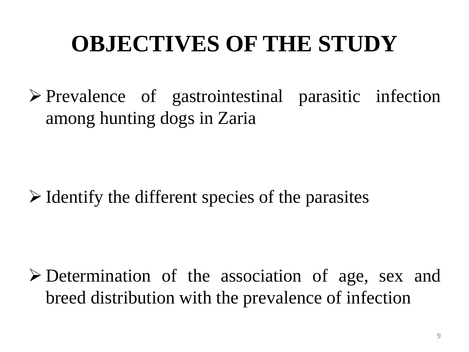### **OBJECTIVES OF THE STUDY**

 $\triangleright$  Prevalence of gastrointestinal parasitic infection among hunting dogs in Zaria

 $\triangleright$  Identify the different species of the parasites

 Determination of the association of age, sex and breed distribution with the prevalence of infection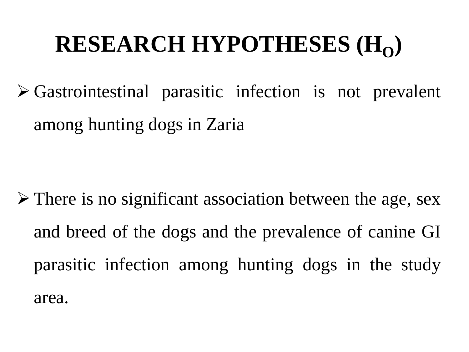## **RESEARCH HYPOTHESES**  $(H_0)$

 Gastrointestinal parasitic infection is not prevalent among hunting dogs in Zaria

 $\triangleright$  There is no significant association between the age, sex and breed of the dogs and the prevalence of canine GI parasitic infection among hunting dogs in the study area.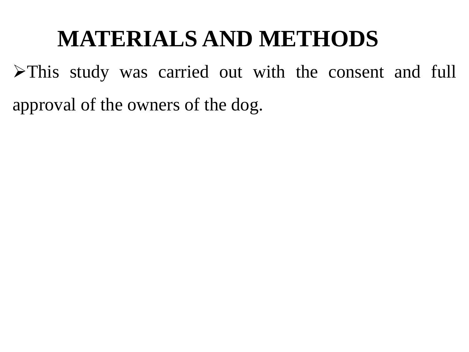#### **MATERIALS AND METHODS**

This study was carried out with the consent and full approval of the owners of the dog.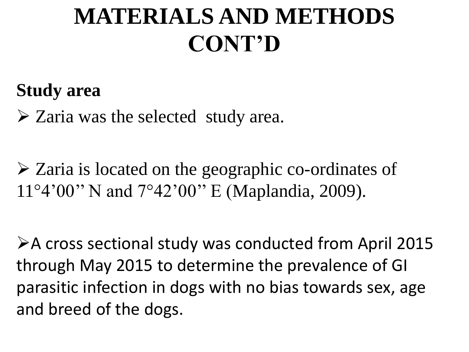#### **MATERIALS AND METHODS CONT'D**

#### **Study area**

 $\triangleright$  Zaria was the selected study area.

 Zaria is located on the geographic co-ordinates of 11°4'00'' N and 7°42'00'' E (Maplandia, 2009).

A cross sectional study was conducted from April 2015 through May 2015 to determine the prevalence of GI parasitic infection in dogs with no bias towards sex, age and breed of the dogs.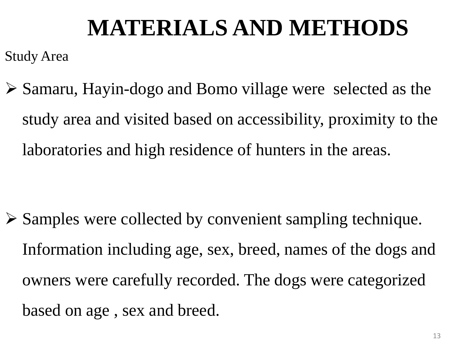### **MATERIALS AND METHODS**

Study Area

 Samaru, Hayin-dogo and Bomo village were selected as the study area and visited based on accessibility, proximity to the laboratories and high residence of hunters in the areas.

 $\triangleright$  Samples were collected by convenient sampling technique. Information including age, sex, breed, names of the dogs and owners were carefully recorded. The dogs were categorized based on age , sex and breed.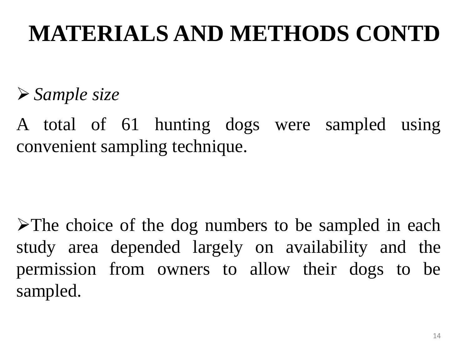## **MATERIALS AND METHODS CONTD**

*Sample size*

A total of 61 hunting dogs were sampled using convenient sampling technique.

 $\triangleright$ The choice of the dog numbers to be sampled in each study area depended largely on availability and the permission from owners to allow their dogs to be sampled.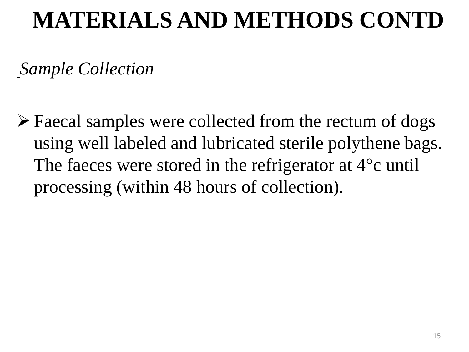#### **MATERIALS AND METHODS CONTD**

*Sample Collection*

 Faecal samples were collected from the rectum of dogs using well labeled and lubricated sterile polythene bags. The faeces were stored in the refrigerator at 4°c until processing (within 48 hours of collection).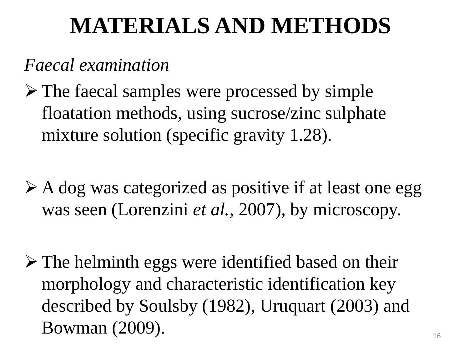#### **MATERIALS AND METHODS**

#### *Faecal examination*

- $\triangleright$  The faecal samples were processed by simple floatation methods, using sucrose/zinc sulphate mixture solution (specific gravity 1.28).
- A dog was categorized as positive if at least one egg was seen (Lorenzini *et al.,* 2007), by microscopy.
- $\triangleright$  The helminth eggs were identified based on their morphology and characteristic identification key described by Soulsby (1982), Uruquart (2003) and  $Bowman (2009).$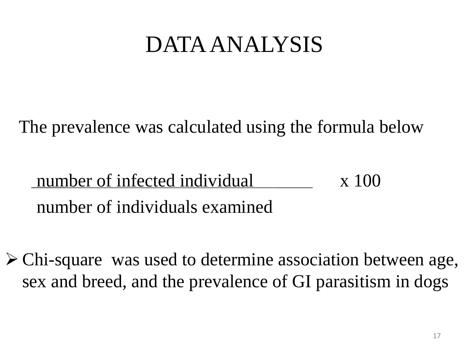#### DATA ANALYSIS

The prevalence was calculated using the formula below

#### number of infected individual x 100 number of individuals examined

 Chi-square was used to determine association between age, sex and breed, and the prevalence of GI parasitism in dogs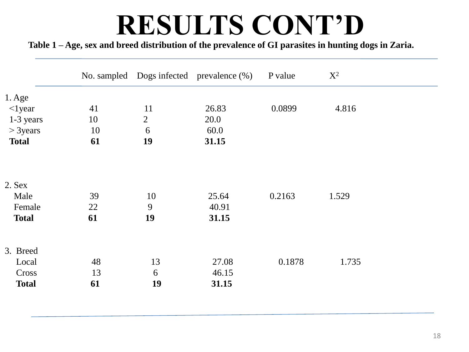# **RESULTS CONT'D**

Table 1 - Age, sex and breed distribution of the prevalence of GI parasites in hunting dogs in Zaria.

|              |    |                | No. sampled Dogs infected prevalence (%) | P value | $X^2$ |  |
|--------------|----|----------------|------------------------------------------|---------|-------|--|
| $1.$ Age     |    |                |                                          |         |       |  |
| $\leq$ lyear | 41 | 11             | 26.83                                    | 0.0899  | 4.816 |  |
| 1-3 years    | 10 | $\overline{2}$ | 20.0                                     |         |       |  |
| $>$ 3years   | 10 | 6              | 60.0                                     |         |       |  |
| <b>Total</b> | 61 | 19             | 31.15                                    |         |       |  |
|              |    |                |                                          |         |       |  |
| 2. Sex       |    |                |                                          |         |       |  |
| Male         | 39 | 10             | 25.64                                    | 0.2163  | 1.529 |  |
| Female       | 22 | 9              | 40.91                                    |         |       |  |
| <b>Total</b> | 61 | 19             | 31.15                                    |         |       |  |
| 3. Breed     |    |                |                                          |         |       |  |
| Local        | 48 | 13             | 27.08                                    | 0.1878  | 1.735 |  |
| Cross        | 13 | 6              | 46.15                                    |         |       |  |
| <b>Total</b> | 61 | 19             | 31.15                                    |         |       |  |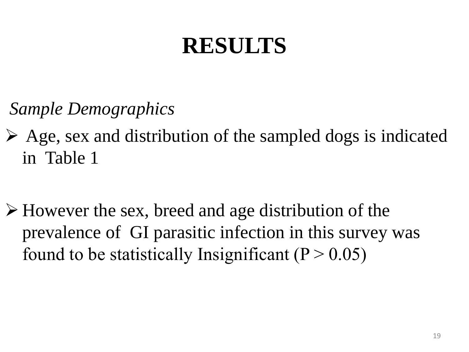## **RESULTS**

*Sample Demographics*

- $\triangleright$  Age, sex and distribution of the sampled dogs is indicated in Table 1
- However the sex, breed and age distribution of the prevalence of GI parasitic infection in this survey was found to be statistically Insignificant ( $P > 0.05$ )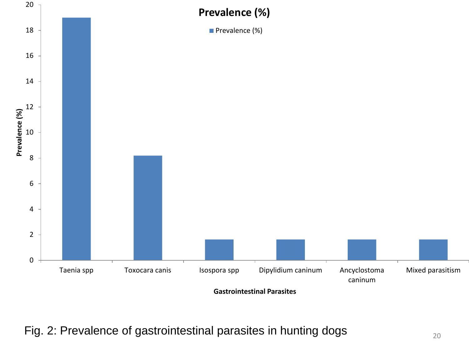

Fig. 2: Prevalence of gastrointestinal parasites in hunting dogs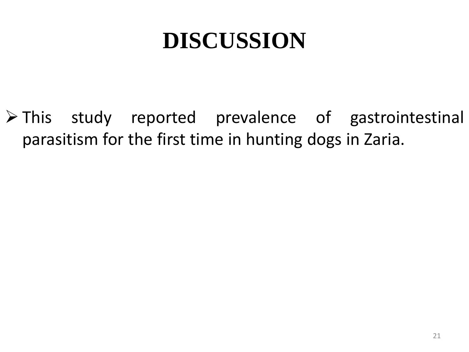#### **DISCUSSION**

> This study reported prevalence of gastrointestinal parasitism for the first time in hunting dogs in Zaria.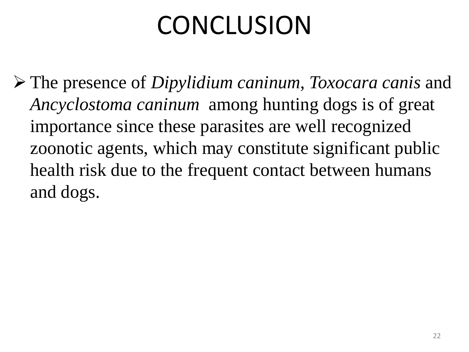# CONCLUSION

 The presence of *Dipylidium caninum*, *Toxocara canis* and *Ancyclostoma caninum* among hunting dogs is of great importance since these parasites are well recognized zoonotic agents, which may constitute significant public health risk due to the frequent contact between humans and dogs.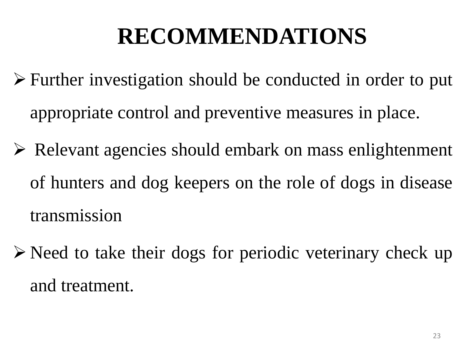## **RECOMMENDATIONS**

- Further investigation should be conducted in order to put appropriate control and preventive measures in place.
- Relevant agencies should embark on mass enlightenment of hunters and dog keepers on the role of dogs in disease transmission
- $\triangleright$  Need to take their dogs for periodic veterinary check up and treatment.